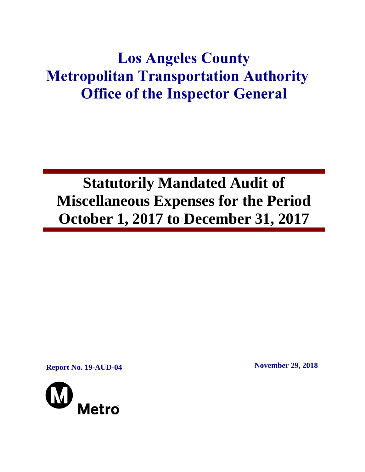## **Los Angeles County Metropolitan Transportation Authority Office of the Inspector General**

# **Statutorily Mandated Audit of Miscellaneous Expenses for the Period October 1, 2017 to December 31, 2017**

**Report No. 19-AUD-04 November 29, 2018**

Metro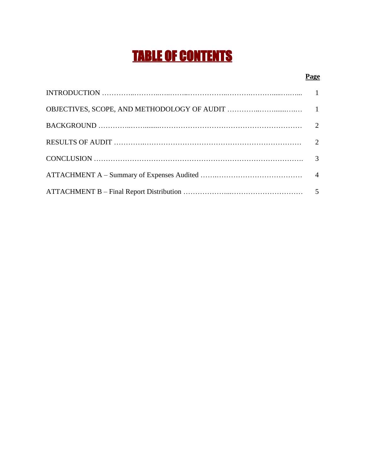## TABLE OF CONTENTS

#### **Page**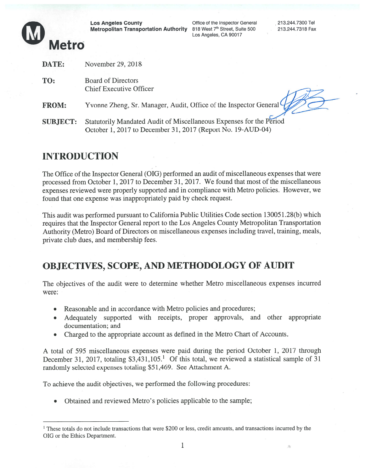

Los Angeles County Office of the Inspector General 213.244.7300 Tel<br>Metropolitan Transportation Authority 818 West 7<sup>th</sup> Street, Suite 500 213.244.7318 Fax<br>Los Angeles, CA 90017

A

| DATE:           | November 29, 2018                                                                                                                  |
|-----------------|------------------------------------------------------------------------------------------------------------------------------------|
| TO:             | <b>Board of Directors</b><br><b>Chief Executive Officer</b>                                                                        |
| <b>FROM:</b>    | Yvonne Zheng, Sr. Manager, Audit, Office of the Inspector General                                                                  |
| <b>SUBJECT:</b> | Statutorily Mandated Audit of Miscellaneous Expenses for the Period<br>October 1, 2017 to December 31, 2017 (Report No. 19-AUD-04) |

## INTRODUCTION

The Office of the Inspector General (OIG) performed an audit of miscellaneous expenses that were processed from October 1, 2017 to December 31, 2017. We found that most of the miscellaneous expenses reviewed were properly supported and in compliance with Metro policies. However, we found that one expense was inappropriately paid by check request.

This audit was performed pursuan<sup>t</sup> to California Public Utilities Code section <sup>1</sup> 3005 <sup>1</sup> .28(b) which requires that the Inspector General repor<sup>t</sup> to the Los Angeles County Metropolitan Transportation Authority (Metro) Board of Directors on miscellaneous expenses including travel, training, meals, private club dues, and membership fees.

## OBJECTIVES, SCOPE, AND METHODOLOGY OF AUDIT

The objectives of the audit were to determine whether Metro miscellaneous expenses incurred were:

- .• Reasonable and in accordance with Metro policies and procedures;
- . Adequately supported with receipts, proper approvals, and other appropriate documentation; and
- Charged to the appropriate account as defined in the Metro Chart of Accounts.

A total of 595 miscellaneous expenses were paid during the period October 1, 2017 through December 31, 2017, totaling \$3,431,105.<sup>1</sup> Of this total, we reviewed a statistical sample of 31 randomly selected expenses totaling \$51,469. See Attachment A.

To achieve the audit objectives, we performed the following procedures:

• Obtained and reviewed Metro's policies applicable to the sample;

<sup>1</sup> These totals do not include transactions that were \$200 or less, credit amounts, and transactions incurred by the OIG or the Ethics Department.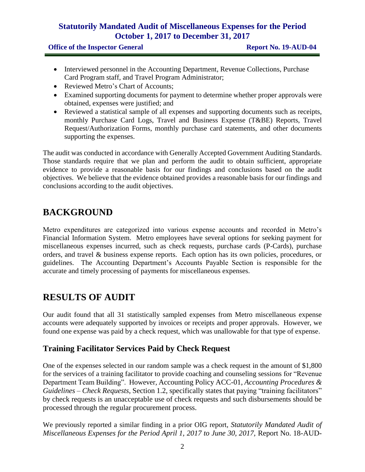#### **Statutorily Mandated Audit of Miscellaneous Expenses for the Period October 1, 2017 to December 31, 2017**

**Office of the Inspector General <b>Report No. 19-AUD-04** 

- Interviewed personnel in the Accounting Department, Revenue Collections, Purchase Card Program staff, and Travel Program Administrator;
- Reviewed Metro's Chart of Accounts:
- Examined supporting documents for payment to determine whether proper approvals were obtained, expenses were justified; and
- Reviewed a statistical sample of all expenses and supporting documents such as receipts, monthly Purchase Card Logs, Travel and Business Expense (T&BE) Reports, Travel Request/Authorization Forms, monthly purchase card statements, and other documents supporting the expenses.

The audit was conducted in accordance with Generally Accepted Government Auditing Standards. Those standards require that we plan and perform the audit to obtain sufficient, appropriate evidence to provide a reasonable basis for our findings and conclusions based on the audit objectives. We believe that the evidence obtained provides a reasonable basis for our findings and conclusions according to the audit objectives.

### **BACKGROUND**

Metro expenditures are categorized into various expense accounts and recorded in Metro's Financial Information System. Metro employees have several options for seeking payment for miscellaneous expenses incurred, such as check requests, purchase cards (P-Cards), purchase orders, and travel & business expense reports. Each option has its own policies, procedures, or guidelines. The Accounting Department's Accounts Payable Section is responsible for the accurate and timely processing of payments for miscellaneous expenses.

## **RESULTS OF AUDIT**

Our audit found that all 31 statistically sampled expenses from Metro miscellaneous expense accounts were adequately supported by invoices or receipts and proper approvals. However, we found one expense was paid by a check request, which was unallowable for that type of expense.

#### **Training Facilitator Services Paid by Check Request**

One of the expenses selected in our random sample was a check request in the amount of \$1,800 for the services of a training facilitator to provide coaching and counseling sessions for "Revenue Department Team Building". However, Accounting Policy ACC-01, *Accounting Procedures & Guidelines – Check Requests*, Section 1.2, specifically states that paying "training facilitators" by check requests is an unacceptable use of check requests and such disbursements should be processed through the regular procurement process.

We previously reported a similar finding in a prior OIG report, *Statutorily Mandated Audit of Miscellaneous Expenses for the Period April 1, 2017 to June 30, 2017,* Report No. 18-AUD-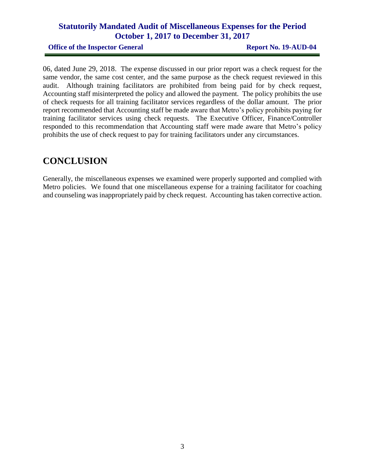#### **Statutorily Mandated Audit of Miscellaneous Expenses for the Period October 1, 2017 to December 31, 2017**

**Office of the Inspector General <b>Report No. 19-AUD-04** 

06, dated June 29, 2018. The expense discussed in our prior report was a check request for the same vendor, the same cost center, and the same purpose as the check request reviewed in this audit. Although training facilitators are prohibited from being paid for by check request, Accounting staff misinterpreted the policy and allowed the payment. The policy prohibits the use of check requests for all training facilitator services regardless of the dollar amount. The prior report recommended that Accounting staff be made aware that Metro's policy prohibits paying for training facilitator services using check requests. The Executive Officer, Finance/Controller responded to this recommendation that Accounting staff were made aware that Metro's policy prohibits the use of check request to pay for training facilitators under any circumstances.

### **CONCLUSION**

Generally, the miscellaneous expenses we examined were properly supported and complied with Metro policies. We found that one miscellaneous expense for a training facilitator for coaching and counseling was inappropriately paid by check request. Accounting has taken corrective action.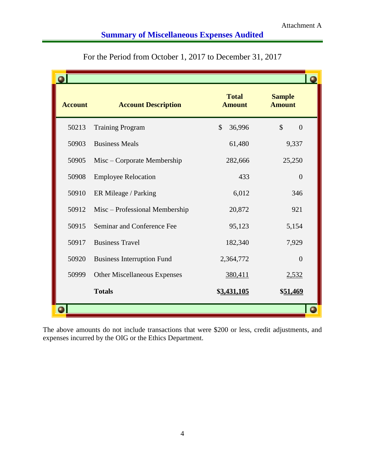### **Summary of Miscellaneous Expenses Audited**

| <b>Account</b> | <b>Account Description</b>          | <b>Total</b><br><b>Amount</b> | <b>Sample</b><br><b>Amount</b>  |
|----------------|-------------------------------------|-------------------------------|---------------------------------|
| 50213          | <b>Training Program</b>             | $\mathcal{S}$<br>36,996       | $\mathcal{S}$<br>$\overline{0}$ |
| 50903          | <b>Business Meals</b>               | 61,480                        | 9,337                           |
| 50905          | Misc – Corporate Membership         | 282,666                       | 25,250                          |
| 50908          | <b>Employee Relocation</b>          | 433                           | $\overline{0}$                  |
| 50910          | ER Mileage / Parking                | 6,012                         | 346                             |
| 50912          | Misc - Professional Membership      | 20,872                        | 921                             |
| 50915          | Seminar and Conference Fee          | 95,123                        | 5,154                           |
| 50917          | <b>Business Travel</b>              | 182,340                       | 7,929                           |
| 50920          | <b>Business Interruption Fund</b>   | 2,364,772                     | $\Omega$                        |
| 50999          | <b>Other Miscellaneous Expenses</b> | 380,411                       | 2,532                           |
|                | <b>Totals</b>                       | \$3,431,105                   | \$51,469                        |
|                |                                     |                               |                                 |

For the Period from October 1, 2017 to December 31, 2017

The above amounts do not include transactions that were \$200 or less, credit adjustments, and expenses incurred by the OIG or the Ethics Department.